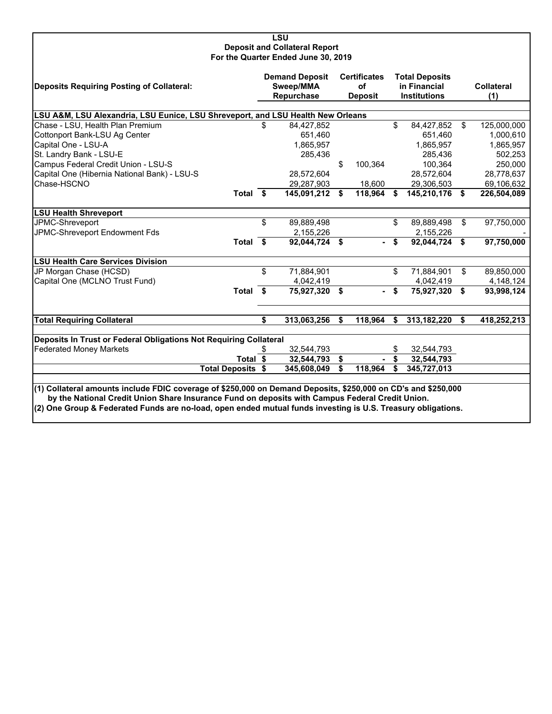| LSU<br><b>Deposit and Collateral Report</b><br>For the Quarter Ended June 30, 2019                                                                                                                                                                                                                                               |     |                                                  |          |                                             |          |                                                              |    |                   |  |  |  |
|----------------------------------------------------------------------------------------------------------------------------------------------------------------------------------------------------------------------------------------------------------------------------------------------------------------------------------|-----|--------------------------------------------------|----------|---------------------------------------------|----------|--------------------------------------------------------------|----|-------------------|--|--|--|
| <b>Deposits Requiring Posting of Collateral:</b>                                                                                                                                                                                                                                                                                 |     | <b>Demand Deposit</b><br>Sweep/MMA<br>Repurchase |          | <b>Certificates</b><br>οf<br><b>Deposit</b> |          | <b>Total Deposits</b><br>in Financial<br><b>Institutions</b> |    | Collateral<br>(1) |  |  |  |
| LSU A&M, LSU Alexandria, LSU Eunice, LSU Shreveport, and LSU Health New Orleans                                                                                                                                                                                                                                                  |     |                                                  |          |                                             |          |                                                              |    |                   |  |  |  |
| Chase - LSU, Health Plan Premium                                                                                                                                                                                                                                                                                                 | \$. | 84,427,852                                       |          |                                             | \$       | 84,427,852                                                   | \$ | 125,000,000       |  |  |  |
| Cottonport Bank-LSU Ag Center                                                                                                                                                                                                                                                                                                    |     | 651,460                                          |          |                                             |          | 651,460                                                      |    | 1,000,610         |  |  |  |
| Capital One - LSU-A                                                                                                                                                                                                                                                                                                              |     | 1,865,957                                        |          |                                             |          | 1,865,957                                                    |    | 1,865,957         |  |  |  |
| St. Landry Bank - LSU-E                                                                                                                                                                                                                                                                                                          |     | 285,436                                          |          |                                             |          | 285,436                                                      |    | 502,253           |  |  |  |
| Campus Federal Credit Union - LSU-S                                                                                                                                                                                                                                                                                              |     |                                                  | \$       | 100,364                                     |          | 100,364                                                      |    | 250,000           |  |  |  |
| Capital One (Hibernia National Bank) - LSU-S                                                                                                                                                                                                                                                                                     |     | 28,572,604                                       |          |                                             |          | 28,572,604                                                   |    | 28,778,637        |  |  |  |
| Chase-HSCNO                                                                                                                                                                                                                                                                                                                      |     | 29,287,903                                       |          | 18,600                                      |          | 29,306,503                                                   |    | 69,106,632        |  |  |  |
| Total \$                                                                                                                                                                                                                                                                                                                         |     | 145,091,212                                      | S.       | 118,964                                     | S.       | 145,210,176 \$                                               |    | 226,504,089       |  |  |  |
| <b>LSU Health Shreveport</b>                                                                                                                                                                                                                                                                                                     |     |                                                  |          |                                             |          |                                                              |    |                   |  |  |  |
| JPMC-Shreveport                                                                                                                                                                                                                                                                                                                  | \$  | 89,889,498                                       |          |                                             | \$       | 89,889,498                                                   | \$ | 97,750,000        |  |  |  |
| JPMC-Shreveport Endowment Fds                                                                                                                                                                                                                                                                                                    |     | 2,155,226                                        |          |                                             |          | 2,155,226                                                    |    |                   |  |  |  |
| Total \$                                                                                                                                                                                                                                                                                                                         |     | 92,044,724 \$                                    |          |                                             | \$       | 92,044,724                                                   | \$ | 97,750,000        |  |  |  |
| <b>LSU Health Care Services Division</b>                                                                                                                                                                                                                                                                                         |     |                                                  |          |                                             |          |                                                              |    |                   |  |  |  |
| JP Morgan Chase (HCSD)                                                                                                                                                                                                                                                                                                           | \$  | 71,884,901                                       |          |                                             | \$       | 71,884,901                                                   | \$ | 89,850,000        |  |  |  |
| Capital One (MCLNO Trust Fund)                                                                                                                                                                                                                                                                                                   |     | 4,042,419                                        |          |                                             |          | 4,042,419                                                    |    | 4,148,124         |  |  |  |
| Total \$                                                                                                                                                                                                                                                                                                                         |     | 75,927,320                                       | \$       |                                             | \$       | 75,927,320                                                   | \$ | 93,998,124        |  |  |  |
| <b>Total Requiring Collateral</b>                                                                                                                                                                                                                                                                                                | \$  | 313,063,256                                      | \$       | 118,964                                     | \$       | 313,182,220                                                  | \$ | 418,252,213       |  |  |  |
|                                                                                                                                                                                                                                                                                                                                  |     |                                                  |          |                                             |          |                                                              |    |                   |  |  |  |
| Deposits In Trust or Federal Obligations Not Requiring Collateral                                                                                                                                                                                                                                                                |     |                                                  |          |                                             |          |                                                              |    |                   |  |  |  |
| <b>Federated Money Markets</b><br>Total \$                                                                                                                                                                                                                                                                                       | \$  | 32,544,793<br>32,544,793                         |          |                                             | \$<br>\$ | 32,544,793<br>32,544,793                                     |    |                   |  |  |  |
| <b>Total Deposits \$</b>                                                                                                                                                                                                                                                                                                         |     | 345,608,049                                      | \$<br>\$ | 118,964                                     | \$       | 345,727,013                                                  |    |                   |  |  |  |
|                                                                                                                                                                                                                                                                                                                                  |     |                                                  |          |                                             |          |                                                              |    |                   |  |  |  |
| (1) Collateral amounts include FDIC coverage of \$250,000 on Demand Deposits, \$250,000 on CD's and \$250,000<br>by the National Credit Union Share Insurance Fund on deposits with Campus Federal Credit Union.<br>(2) One Group & Federated Funds are no-load, open ended mutual funds investing is U.S. Treasury obligations. |     |                                                  |          |                                             |          |                                                              |    |                   |  |  |  |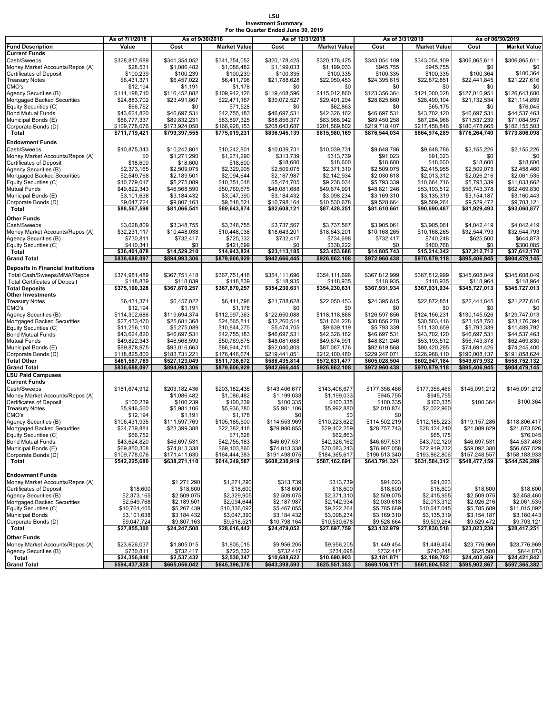#### **LSU Investment Summary For the Quarter Ended June 30, 2019**

|                                           | As of 7/1/2018 | As of 9/30/2018 |                     |               | As of 12/31/2018    |               | As of 3/31/2019     | As of 06/30/2019 |                     |  |
|-------------------------------------------|----------------|-----------------|---------------------|---------------|---------------------|---------------|---------------------|------------------|---------------------|--|
| <b>Fund Description</b>                   | Value          | Cost            | <b>Market Value</b> | Cost          | <b>Market Value</b> | Cost          | <b>Market Value</b> | Cost             | <b>Market Value</b> |  |
|                                           |                |                 |                     |               |                     |               |                     |                  |                     |  |
| Current Funds                             |                |                 |                     |               |                     |               |                     |                  |                     |  |
| Cash/Sweeps                               | \$328,817,689  | \$341,354,052   | \$341,354,052       | \$320,178,425 | \$320,178,425       | \$343,054,109 | \$343,054,109       | \$306,865,611    | \$306,865,611       |  |
| Money Market Accounts/Repos (A)           | \$28,531       | \$1,086,482     | \$1,086,482         | \$1,199,033   | \$1,199,033         | \$945,755     | \$945,755           | \$0              | \$0                 |  |
| Certificates of Deposit                   | \$100,239      | \$100,239       | \$100,239           | \$100,335     | \$100,335           | \$100,335     | \$100,335           | \$100,364        | \$100,364           |  |
|                                           |                |                 |                     |               |                     |               |                     |                  |                     |  |
| <b>Treasury Notes</b>                     | \$6,431,371    | \$6,457,022     | \$6,411,798         | \$21,788,628  | \$22,050,453        | \$24,395,615  | \$22,872,851        | \$22,441,845     | \$21,227,616        |  |
| CMO's                                     | \$12,194       | \$1,191         | \$1,178             | \$0           | \$0                 | \$0           | \$0                 | \$0              | \$0                 |  |
| Agency Securities (B)                     | \$111,198,710  | \$116,452,882   | \$109,942,126       | \$119,408,596 | \$115,012,860       | \$123,356,364 | \$121,000,028       | \$127,010,951    | \$126,643,680       |  |
|                                           |                |                 |                     |               |                     |               |                     |                  |                     |  |
| Mortgaged Backed Securities               | \$24,883,702   | \$23,491,867    | \$22,471,167        | \$30,072,527  | \$29,491,294        | \$28,825,660  | \$28,490,104        | \$21,132,534     | \$21,114,859        |  |
| Equity Securities (C)                     | \$66,752       | \$0             | \$71,528            | \$0           | \$62,863            | \$0           | \$65,175            | \$0              | \$76,045            |  |
|                                           |                |                 |                     |               |                     |               |                     |                  |                     |  |
| Bond Mutual Funds                         | \$43,624,820   | \$46,697,531    | \$42,755,183        | \$46,697,531  | \$42,326,162        | \$46,697,531  | \$43,702,120        | \$46,697,531     | \$44,537,463        |  |
| Municipal Bonds (E)                       | \$86,777,337   | \$89,832,231    | \$83,897,325        | \$88,856,377  | \$83,988,942        | \$89,450,258  | \$87,284,966        | \$71,537,239     | \$71,084,957        |  |
| Corporate Bonds (D)                       | \$109,778,076  | \$173,924,058   | \$166,928,153       | \$208,643,687 | \$201,569,802       | \$219.718.407 | \$217.458.846       | \$180,478,665    | \$182,155,503       |  |
|                                           |                |                 |                     |               | \$815,980,169       |               |                     |                  | \$773,806,098       |  |
| Total                                     | \$711,719,421  | \$799,397,555   | \$775,019,231       | \$836,945,139 |                     | \$876,544,034 | \$864,974,289       | \$776,264,740    |                     |  |
| <b>Endowment Funds</b>                    |                |                 |                     |               |                     |               |                     |                  |                     |  |
|                                           |                |                 |                     |               |                     |               |                     |                  |                     |  |
| Cash/Sweeps                               | \$10,875,343   | \$10,242,801    | \$10,242,801        | \$10,039,731  | \$10,039,731        | \$9,648,786   | \$9,648,786         | \$2,155,226      | \$2,155,226         |  |
| Money Market Accounts/Repos (A)           | \$0            | \$1,271,290     | \$1,271,290         | \$313,739     | \$313,739           | \$91,023      | \$91,023            | \$0              | \$0                 |  |
| <b>Certificates of Deposit</b>            | \$18,600       | \$18,600        | \$18,600            | \$18,600      | \$18,600            | \$18,600      | \$18,600            | \$18,600         | \$18,600            |  |
|                                           |                |                 |                     |               |                     |               |                     |                  |                     |  |
| Agency Securities (B)                     | \$2,373,165    | \$2,509,075     | \$2,329,905         | \$2,509,075   | \$2,371,310         | \$2,509,075   | \$2,415,955         | \$2,509,075      | \$2,458,460         |  |
| Mortgaged Backed Securities               | \$2,549,768    | \$2,189,501     | \$2,094,644         | \$2,187,987   | \$2,142,934         | \$2,030,618   | \$2,013,312         | \$2,026,216      | \$2,061,535         |  |
| Equity Securities (C)                     | \$10,779,017   | \$5,275,089     | \$10,351,048        | \$5,474,705   | \$9,238,034         | \$5,793,339   | \$10,664,716        | \$5,793,339      | \$11,033,662        |  |
|                                           |                |                 |                     |               |                     |               |                     |                  |                     |  |
| Mutual Funds                              | \$49,822,343   | \$46,568,590    | \$50,769,675        | \$48,081,688  | \$49,674,991        | \$48,821,246  | \$53,193,512        | \$56,743,378     | \$62,469,830        |  |
| Municipal Bonds (E)                       | \$3,101,638    | \$3,184,432     | \$3,047,390         | \$3,184,432   | \$3,098,234         | \$3,169,310   | \$3,135,319         | \$3,154,187      | \$3,160,443         |  |
|                                           |                | \$9,807,163     |                     |               |                     |               |                     |                  |                     |  |
| Corporate Bonds (D)                       | \$9,047,724    |                 | \$9,518,521         | \$10,798,164  | \$10,530,678        | \$9,528,664   | \$9,509,264         | \$9,529,472      | \$9,703,121         |  |
| Total                                     | \$88,567,598   | \$81,066,541    | \$89,643,874        | \$82,608,121  | \$87,428,251        | \$81,610,661  | \$90,690,487        | \$81,929,493     | \$93,060,877        |  |
|                                           |                |                 |                     |               |                     |               |                     |                  |                     |  |
| Other Funds                               |                |                 |                     |               |                     |               |                     |                  |                     |  |
| Cash/Sweeps                               | \$3,028,809    | \$3,348,755     | \$3,348,755         | \$3,737,567   | \$3,737,567         | \$3,905,061   | \$3,905,061         | \$4,042,419      | \$4,042,419         |  |
|                                           |                |                 |                     |               |                     |               |                     |                  |                     |  |
| Money Market Accounts/Repos (A)           | \$32,231,117   | \$10,448,038    | \$10,448,038        | \$18,643,201  | \$18,643,201        | \$10,168,265  | \$10,168,265        | \$32,544,793     | \$32,544,793        |  |
| Agency Securities (B)                     | \$730,811      | \$732,417       | \$725,332           | \$732,417     | \$734,698           | \$732,417     | \$740,248           | \$625.500        | \$644.873           |  |
| Equity Securities (C)                     | \$410,341      | \$0             | \$421,699           | \$0           | \$338.222           | \$0           | \$400,768           | \$0              | \$380,085           |  |
|                                           |                | \$14,529,210    |                     | \$23,113,185  |                     | \$14,805,743  | \$15,214,342        | \$37,212,712     | \$37.612.170        |  |
| Total                                     | \$36,401,078   |                 | \$14,943,824        |               | \$23,453,688        |               |                     |                  |                     |  |
| <b>Grand Total</b>                        | \$836,688,097  | \$894,993,306   | \$879,606,929       | \$942,666,445 | \$926,862,108       | \$972,960,438 | \$970,879,118       | \$895,406,945    | \$904,479,145       |  |
|                                           |                |                 |                     |               |                     |               |                     |                  |                     |  |
| <b>Deposits in Financial Institutions</b> |                |                 |                     |               |                     |               |                     |                  |                     |  |
| Total Cash/Sweeps/MMA/Repos               | \$374,981,489  | \$367,751,418   | \$367,751,418       | \$354,111,696 | \$354,111,696       | \$367,812,999 | \$367,812,999       | \$345,608,049    | \$345.608.049       |  |
|                                           |                |                 |                     |               |                     |               |                     |                  |                     |  |
| <b>Total Certificates of Deposit</b>      | \$118,839      | \$118,839       | \$118,839           | \$118,935     | \$118,935           | \$118,935     | \$118,935           | \$118,964        | \$118,964           |  |
| <b>Total Deposits</b>                     | \$375,100,328  | \$367,870,257   | \$367,870,257       | \$354,230,631 | \$354,230,631       | \$367,931,934 | \$367.931.934       | \$345,727,013    | \$345,727,013       |  |
| Other Investments                         |                |                 |                     |               |                     |               |                     |                  |                     |  |
|                                           |                |                 |                     |               |                     |               |                     |                  | \$21,227,616        |  |
| <b>Treasury Notes</b>                     | \$6,431,371    | \$6,457,022     | \$6,411,798         | \$21,788,628  | \$22,050,453        | \$24,395,615  | \$22,872,851        | \$22,441,845     |                     |  |
| CMO's                                     | \$12,194       | \$1,191         | \$1,178             | \$0           | \$0                 | \$0           | \$0                 | \$0              | \$0                 |  |
| Agency Securities (B)                     | \$114,302,686  | \$119,694,374   | \$112,997,363       | \$122,650,088 | \$118,118,868       | \$126,597,856 | \$124,156,231       | \$130,145,526    | \$129,747,013       |  |
|                                           |                |                 |                     |               |                     |               |                     |                  |                     |  |
| Mortgaged Backed Securities               | \$27,433,470   | \$25,681,368    | \$24,565,811        | \$32,260,514  | \$31,634,228        | \$30,856,278  | \$30,503,416        | \$23,158,750     | \$23,176,394        |  |
| Equity Securities (C)                     | \$11,256,110   | \$5,275,089     | \$10,844,275        | \$5,474,705   | \$9,639,119         | \$5,793,339   | \$11,130,659        | \$5,793,339      | \$11,489,792        |  |
| Bond Mutual Funds                         | \$43,624,820   | \$46,697,531    | \$42,755,183        | \$46,697,531  | \$42,326,162        | \$46,697,531  | \$43,702,120        | \$46,697,531     | \$44,537,463        |  |
|                                           |                |                 |                     |               |                     |               |                     |                  |                     |  |
| Mutual Funds                              | \$49,822,343   | \$46,568,590    | \$50,769,675        | \$48,081,688  | \$49,674,991        | \$48,821,246  | \$53,193,512        | \$56,743,378     | \$62,469,830        |  |
| Municipal Bonds (E)                       | \$89,878,975   | \$93,016,663    | \$86,944,715        | \$92,040,809  | \$87,087,176        | \$92,619,568  | \$90,420,285        | \$74,691,426     | \$74,245,400        |  |
| Corporate Bonds (D)                       | \$118,825,800  | \$183,731,221   | \$176,446,674       | \$219,441,851 | \$212,100,480       | \$229,247,071 | \$226,968,110       | \$190,008,137    | \$191,858,624       |  |
|                                           |                |                 |                     |               |                     |               |                     |                  |                     |  |
| <b>Total Other</b>                        | \$461,587,769  | \$527,123,049   | \$511,736,672       | \$588,435,814 | \$572,631,477       | \$605,028,504 | \$602,947,184       | \$549,679,932    | \$558,752,132       |  |
| Grand Total                               | \$836,688,097  | \$894,993,306   | \$879,606,929       | \$942,666,445 | \$926,862,108       | \$972,960,438 | \$970,879,118       | \$895,406,945    | \$904,479,145       |  |
| <b>LSU Paid Campuses</b>                  |                |                 |                     |               |                     |               |                     |                  |                     |  |
|                                           |                |                 |                     |               |                     |               |                     |                  |                     |  |
| Current Funds                             |                |                 |                     |               |                     |               |                     |                  |                     |  |
| Cash/Sweeps                               | \$181,674,912  | \$203,182,436   | \$203,182,436       | \$143,406,677 | \$143,406,677       | \$177,356,466 | \$177,356,466       | \$145,091,212    | \$145,091,212       |  |
|                                           |                |                 |                     |               |                     |               |                     |                  |                     |  |
| Money Market Accounts/Repos (A)           |                | \$1,086,482     | \$1,086,482         | \$1,199,033   | \$1,199,033         | \$945,755     | \$945,755           |                  |                     |  |
| Certificates of Deposit                   | \$100,239      | \$100,239       | \$100,239           | \$100,335     | \$100,335           | \$100,335     | \$100,335           | \$100,364        | \$100,364           |  |
| <b>Treasury Notes</b>                     | \$5,946,560    | \$5,981,106     | \$5,936,380         | \$5,981,106   | \$5,992,880         | \$2,010,874   | \$2,022,960         |                  |                     |  |
|                                           |                |                 |                     |               | \$0                 | \$0           |                     |                  |                     |  |
| CMO's                                     | \$12,194       | \$1,191         | \$1,178             | \$0           |                     |               |                     |                  |                     |  |
| Agency Securities (B)                     | \$106,431,935  | \$111,597,769   | \$105,185,500       | \$114,553,969 | \$110,223,622       | \$114,502,219 | \$112,185,223       | \$119,157,286    | \$118,806,417       |  |
| Mortgaged Backed Securities               | \$24,739,884   | \$23,399,388    | \$22,382,418        | \$29,980,855  | \$29,402,259        | \$28,757,743  | \$28,424,240        | \$21,089,829     | \$21,073,826        |  |
| Equity Securities (C)                     | \$66,752       |                 | \$71,528            |               | \$62,863            |               | \$65,175            |                  | \$76.045            |  |
|                                           |                |                 |                     |               |                     |               |                     |                  |                     |  |
| <b>Bond Mutual Funds</b>                  | \$43,624,820   | \$46,697,531    | \$42,755,183        | \$46,697,531  | \$42,326,162        | \$46,697,531  | \$43,702,120        | \$46,697,531     | \$44,537,463        |  |
| Municipal Bonds (E)                       | \$69,850,308   | \$74,813,338    | \$69,103,860        | \$74,813,338  | \$70,083,243        | \$76,907,058  | \$72,919,232        | \$59,092,380     | \$56,657,029        |  |
|                                           | \$109,778,076  |                 | \$164,444,383       |               | \$184,365,617       |               | \$193,862,806       | \$157,248,557    |                     |  |
| Corporate Bonds (D)                       |                | \$171,411,630   |                     | \$191,498,075 |                     | \$196,513,340 |                     |                  | \$158,183,933       |  |
| Total                                     | \$542,225,680  | \$638,271,110   | \$614,249,587       | \$608,230,919 | \$587,162,691       | \$643,791,321 | \$631,584,312       | \$548,477,159    | \$544,526,289       |  |
|                                           |                |                 |                     |               |                     |               |                     |                  |                     |  |
|                                           |                |                 |                     |               |                     |               |                     |                  |                     |  |
| Endowment Funds                           |                |                 |                     |               |                     |               |                     |                  |                     |  |
| Money Market Accounts/Repos (A)           |                | \$1,271,290     | \$1,271,290         | \$313,739     | \$313,739           | \$91,023      | \$91,023            |                  |                     |  |
| <b>Certificates of Deposit</b>            | \$18,600       | \$18,600        | \$18,600            | \$18,600      | \$18,600            | \$18,600      | \$18,600            | \$18,600         | \$18,600            |  |
|                                           |                |                 |                     |               |                     |               |                     |                  |                     |  |
| Agency Securities (B)                     | \$2,373,165    | \$2,509,075     | \$2,329,905         | \$2,509,075   | \$2,371,310         | \$2,509,075   | \$2,415,955         | \$2,509,075      | \$2.458.460         |  |
| Mortgaged Backed Securities               | \$2,549,768    | \$2,189,501     | \$2,094,644         | \$2,187,987   | \$2,142,934         | \$2,030,618   | \$2,013,312         | \$2,026,216      | \$2,061,535         |  |
|                                           |                |                 |                     |               |                     |               |                     |                  |                     |  |
| Equity Securities (C)                     | \$10,764,405   | \$5,267,439     | \$10,336,092        | \$5,467,055   | \$9,222,264         | \$5,785,689   | \$10,647,045        | \$5,785,689      | \$11,015,092        |  |
| <b>Municipal Bonds</b>                    | \$3,101,638    | \$3,184,432     | \$3,047,390         | \$3,184,432   | \$3,098,234         | \$3,169,310   | \$3,135,319         | \$3,154,187      | \$3,160,443         |  |
| Corporate Bonds (D)                       | \$9,047,724    | \$9,807,163     | \$9,518,521         | \$10,798,164  | \$10,530,678        | \$9,528,664   | \$9,509,264         | \$9,529,472      | \$9,703,121         |  |
|                                           |                |                 |                     |               |                     |               |                     |                  |                     |  |
| Total                                     | \$27,855,300   | \$24,247,500    | \$28,616,442        | \$24,479,052  | \$27,697,759        | \$23,132,979  | \$27,830,518        | \$23,023,239     | \$28,417,251        |  |
| Other Funds                               |                |                 |                     |               |                     |               |                     |                  |                     |  |
|                                           |                |                 |                     |               |                     |               |                     |                  |                     |  |
| Money Market Accounts/Repos (A)           | \$23,626,037   | \$1,805,015     | \$1,805,015         | \$9,956,205   | \$9,956,205         | \$1,449,454   | \$1,449,454         | \$23,776,969     | \$23,776,969        |  |
| Agency Securities (B)                     | \$730,811      | \$732,417       | \$725,332           | \$732,417     | \$734,698           | \$732,417     | \$740,248           | \$625,500        | \$644,873           |  |
|                                           |                |                 |                     |               |                     |               |                     |                  |                     |  |
| Total                                     | \$24,356,848   | \$2,537,432     | \$2,530,347         | \$10,688,622  | \$10,690,903        | \$2,181,871   | \$2,189,702         | \$24,402,469     | \$24,421,842        |  |
| Grand Total                               | \$594,437,828  | \$665,056,042   | \$645,396,376       | \$643,398,593 | \$625,551,353       | \$669,106,171 | \$661,604,532       | \$595,902,867    | \$597,365,382       |  |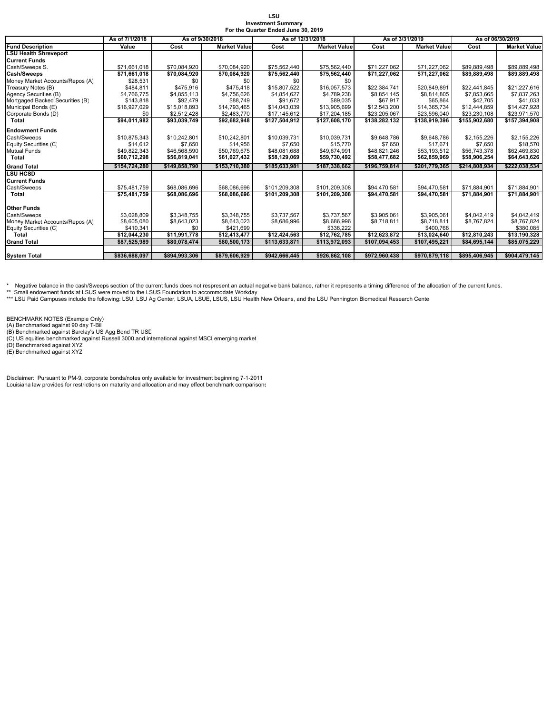| LSU                                 |  |
|-------------------------------------|--|
| <b>Investment Summary</b>           |  |
| For the Quarter Ended June 30, 2019 |  |

|                                 | As of 7/1/2018 | As of 9/30/2018 |                     | As of 12/31/2018 |                     | As of 3/31/2019 |                     | As of 06/30/2019 |                         |  |
|---------------------------------|----------------|-----------------|---------------------|------------------|---------------------|-----------------|---------------------|------------------|-------------------------|--|
| <b>Fund Description</b>         | Value          | Cost            | <b>Market Value</b> | Cost             | <b>Market Value</b> | Cost            | <b>Market Value</b> | Cost             | <b>Market Value</b>     |  |
| <b>LSU Health Shreveport</b>    |                |                 |                     |                  |                     |                 |                     |                  |                         |  |
| <b>Current Funds</b>            |                |                 |                     |                  |                     |                 |                     |                  |                         |  |
| Cash/Sweeps S.                  | \$71,661,018   | \$70,084,920    | \$70,084,920        | \$75,562,440     | \$75,562,440        | \$71,227,062    | \$71,227,062        | \$89,889,498     | \$89,889,498            |  |
| Cash/Sweeps                     | \$71,661,018   | \$70,084,920    | \$70,084,920        | \$75,562,440     | \$75,562,440        | \$71,227,062    | \$71,227,062        | \$89,889,498     | \$89,889,498            |  |
| Money Market Accounts/Repos (A) | \$28,531       | \$0             | \$0                 | \$0              | \$0                 |                 |                     |                  |                         |  |
| Treasury Notes (B)              | \$484.811      | \$475.916       | \$475.418           | \$15,807.522     | \$16,057.573        | \$22.384.741    | \$20.849.891        | \$22,441,845     | \$21,227,616            |  |
| Agency Securities (B)           | \$4,766,775    | \$4,855,113     | \$4,756,626         | \$4,854,627      | \$4,789,238         | \$8,854,145     | \$8,814,805         | \$7,853,665      | \$7,837,263             |  |
| Mortgaged Backed Securities (B) | \$143,818      | \$92,479        | \$88,749            | \$91,672         | \$89,035            | \$67,917        | \$65,864            | \$42,705         | \$41,033                |  |
| Municipal Bonds (E)             | \$16,927,029   | \$15,018,893    | \$14,793,465        | \$14,043,039     | \$13,905,699        | \$12,543,200    | \$14,365,734        | \$12,444.859     | \$14,427,928            |  |
| Corporate Bonds (D)             | \$0            | \$2,512,428     | \$2,483,770         | \$17,145,612     | \$17,204,185        | \$23,205,067    | \$23,596,040        | \$23,230,108     | \$23,971,570            |  |
| Total                           | \$94,011,982   | \$93,039,749    | \$92,682,948        | \$127.504.912    | \$127,608,170       | \$138,282,132   | \$138,919,396       | \$155,902,680    | \$157,394,908           |  |
| <b>Endowment Funds</b>          |                |                 |                     |                  |                     |                 |                     |                  |                         |  |
| Cash/Sweeps                     | \$10,875,343   | \$10,242,801    | \$10,242,801        | \$10,039,731     | \$10,039,731        | \$9,648,786     | \$9,648,786         | \$2,155,226      | \$2,155,226             |  |
| Equity Securities (C)           | \$14,612       | \$7.650         | \$14,956            | \$7,650          | \$15,770            | \$7,650         | \$17.671            | \$7,650          | \$18,570                |  |
| <b>Mutual Funds</b>             | \$49,822,343   | \$46,568,590    | \$50,769,675        | \$48,081,688     | \$49.674.991        | \$48,821,246    | \$53,193,512        | \$56,743,378     | \$62,469,830            |  |
| Total                           | \$60,712,298   | \$56,819,041    | \$61,027,432        | \$58,129,069     | \$59,730,492        | \$58,477,682    | \$62,859,969        | \$58,906,254     | \$64,643,626            |  |
| <b>Grand Total</b>              | \$154,724,280  | \$149.858.790   | \$153,710,380       | \$185,633,981    | \$187,338,662       | \$196,759,814   | \$201,779,365       | \$214,808,934    | \$222,038,534           |  |
| <b>LSU HCSD</b>                 |                |                 |                     |                  |                     |                 |                     |                  |                         |  |
| <b>Current Funds</b>            |                |                 |                     |                  |                     |                 |                     |                  |                         |  |
| Cash/Sweeps                     | \$75,481,759   | \$68,086,696    | \$68,086,696        | \$101,209,308    | \$101,209,308       | \$94,470,581    | \$94,470,581        | \$71,884,901     | \$71,884,901            |  |
| Total                           | \$75.481.759   | \$68,086,696    | \$68,086,696        | \$101.209.308    | \$101.209.308       | \$94,470,581    | \$94.470.581        | \$71.884.901     | \$71.884.901            |  |
|                                 |                |                 |                     |                  |                     |                 |                     |                  |                         |  |
| <b>Other Funds</b>              |                |                 |                     |                  |                     |                 |                     |                  |                         |  |
| Cash/Sweeps                     | \$3.028.809    | \$3,348,755     | \$3.348.755         | \$3,737,567      | \$3,737,567         | \$3.905.061     | \$3.905.061         | \$4,042,419      | \$4,042,419             |  |
| Money Market Accounts/Repos (A) | \$8,605.080    | \$8,643,023     | \$8,643,023         | \$8,686,996      | \$8,686,996         | \$8,718,811     | \$8,718,811         | \$8,767,824      | \$8,767,824             |  |
| Equity Securities (C)           | \$410,341      | \$0             | \$421,699           |                  | \$338,222           |                 | \$400,768           |                  | \$380,085               |  |
| Total                           | \$12,044,230   | \$11,991,778    | \$12,413,477        | \$12,424,563     | \$12,762,785        | \$12,623,872    | \$13,024,640        | \$12,810,243     | $\overline{$}3,190,328$ |  |
| <b>Grand Total</b>              | \$87,525,989   | \$80,078,474    | \$80,500,173        | \$113,633,871    | \$113,972,093       | \$107,094,453   | \$107,495,221       | \$84,695,144     | \$85,075,229            |  |
|                                 |                |                 |                     |                  |                     |                 |                     |                  |                         |  |
| <b>System Total</b>             | \$836,688,097  | \$894,993,306   | \$879,606,929       | \$942,666,445    | \$926,862,108       | \$972,960,438   | \$970,879,118       | \$895,406,945    | \$904,479,145           |  |

\* Negative balance in the cash/Sweeps section of the current funds does not respresent an actual negative bank balance, rather it represents a timing difference of the allocation of the current funds.

\*\* Small endowment funds at LSUS were moved to the LSUS Foundation to accommodate Workday<br>\*\*\* LSU Paid Campuses include the following: LSU, LSU Ag Center, LSUA, LSUE, LSUS, LSU Health New Orleans, and the LSU Pennington Bi

BENCHMARK NOTES (Example Only)<br>(A) Benchmarked against 90 day T-Bil<br>(B) Benchmarked against Barclay's US Agg Bond TR USD<br>(C) US equities benchmarked against Russell 3000 and international against MSCI emerging market<br>(D) B

Disclaimer: Pursuant to PM-9, corporate bonds/notes only available for investment beginning 7-1-2011 Louisiana law provides for restrictions on maturity and allocation and may effect benchmark comparisons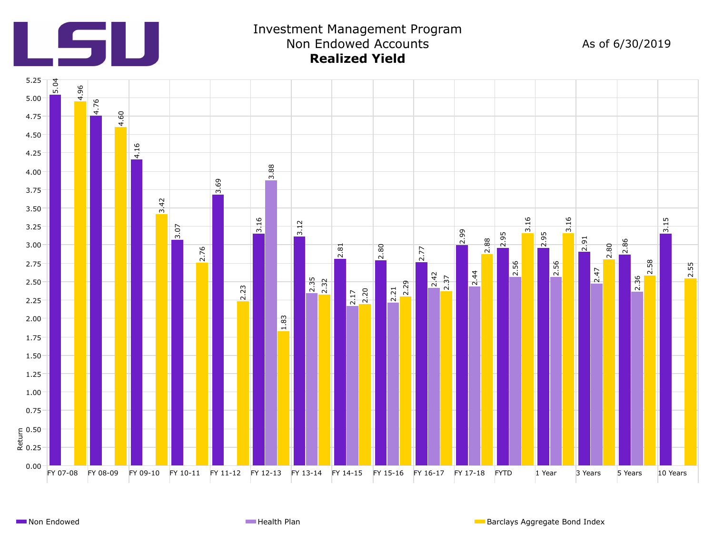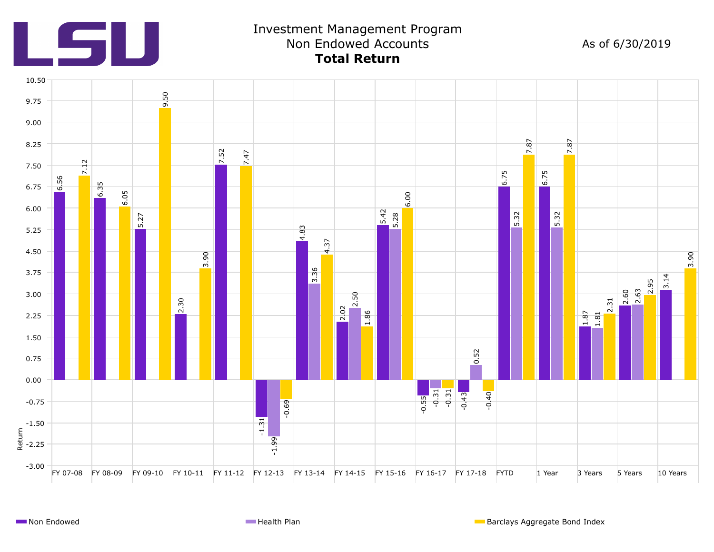

## Investment Management Program Non Endowed Accounts As of 6/30/2019 **Total Return**

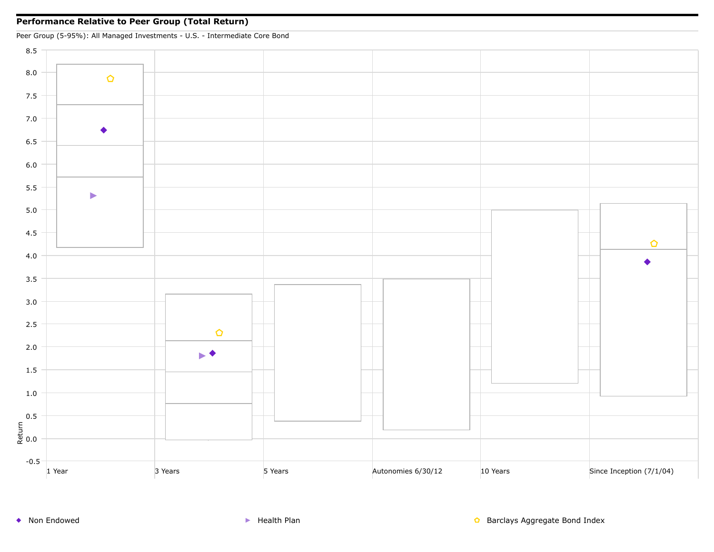### **Performance Relative to Peer Group (Total Return)**

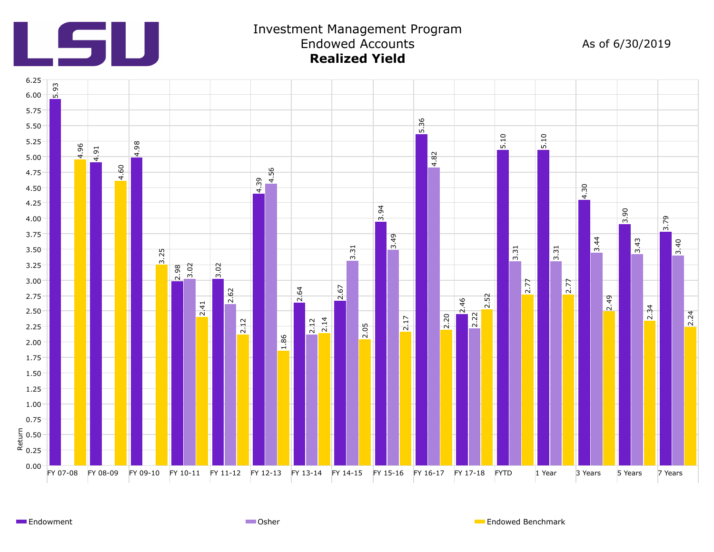

## Investment Management Program Endowed Accounts As of 6/30/2019 **Realized Yield**



Endowment **Endowed Benchmark** Communication Communication Communication Communication Communication Communication Communication Communication Communication Communication Communication Communication Communication Communicat